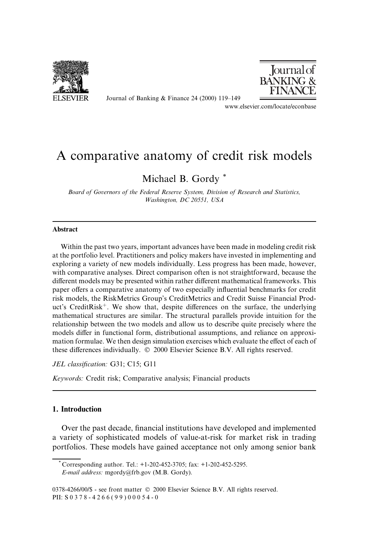

Journal of Banking  $&$  Finance 24 (2000) 119–149



www.elsevier.com/locate/econbase

# A comparative anatomy of credit risk models

## Michael B. Gordy \*

Board of Governors of the Federal Reserve System, Division of Research and Statistics, Washington, DC 20551, USA

#### Abstract

Within the past two years, important advances have been made in modeling credit risk at the portfolio level. Practitioners and policy makers have invested in implementing and exploring a variety of new models individually. Less progress has been made, however, with comparative analyses. Direct comparison often is not straightforward, because the different models may be presented within rather different mathematical frameworks. This paper offers a comparative anatomy of two especially influential benchmarks for credit risk models, the RiskMetrics Group's CreditMetrics and Credit Suisse Financial Product's CreditRisk<sup>+</sup>. We show that, despite differences on the surface, the underlying mathematical structures are similar. The structural parallels provide intuition for the relationship between the two models and allow us to describe quite precisely where the models differ in functional form, distributional assumptions, and reliance on approximation formulae. We then design simulation exercises which evaluate the effect of each of these differences individually.  $\odot$  2000 Elsevier Science B.V. All rights reserved.

JEL classification: G31; C15; G11

Keywords: Credit risk; Comparative analysis; Financial products

#### 1. Introduction

Over the past decade, financial institutions have developed and implemented a variety of sophisticated models of value-at-risk for market risk in trading portfolios. These models have gained acceptance not only among senior bank

 $*$  Corresponding author. Tel.:  $+1-202-452-3705$ ; fax:  $+1-202-452-5295$ . E-mail address: mgordy@frb.gov (M.B. Gordy).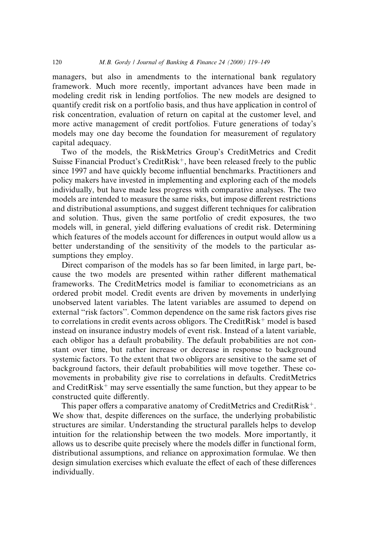managers, but also in amendments to the international bank regulatory framework. Much more recently, important advances have been made in modeling credit risk in lending portfolios. The new models are designed to quantify credit risk on a portfolio basis, and thus have application in control of risk concentration, evaluation of return on capital at the customer level, and more active management of credit portfolios. Future generations of today's models may one day become the foundation for measurement of regulatory capital adequacy.

Two of the models, the RiskMetrics Group's CreditMetrics and Credit Suisse Financial Product's CreditRisk<sup>+</sup>, have been released freely to the public since 1997 and have quickly become influential benchmarks. Practitioners and policy makers have invested in implementing and exploring each of the models individually, but have made less progress with comparative analyses. The two models are intended to measure the same risks, but impose different restrictions and distributional assumptions, and suggest different techniques for calibration and solution. Thus, given the same portfolio of credit exposures, the two models will, in general, yield differing evaluations of credit risk. Determining which features of the models account for differences in output would allow us a better understanding of the sensitivity of the models to the particular assumptions they employ.

Direct comparison of the models has so far been limited, in large part, because the two models are presented within rather different mathematical frameworks. The CreditMetrics model is familiar to econometricians as an ordered probit model. Credit events are driven by movements in underlying unobserved latent variables. The latent variables are assumed to depend on external "risk factors". Common dependence on the same risk factors gives rise to correlations in credit events across obligors. The CreditRisk<sup>+</sup> model is based instead on insurance industry models of event risk. Instead of a latent variable, each obligor has a default probability. The default probabilities are not constant over time, but rather increase or decrease in response to background systemic factors. To the extent that two obligors are sensitive to the same set of background factors, their default probabilities will move together. These comovements in probability give rise to correlations in defaults. CreditMetrics and CreditRisk<sup>+</sup> may serve essentially the same function, but they appear to be constructed quite differently.

This paper offers a comparative anatomy of CreditMetrics and CreditRisk<sup>+</sup>. We show that, despite differences on the surface, the underlying probabilistic structures are similar. Understanding the structural parallels helps to develop intuition for the relationship between the two models. More importantly, it allows us to describe quite precisely where the models differ in functional form, distributional assumptions, and reliance on approximation formulae. We then design simulation exercises which evaluate the effect of each of these differences individually.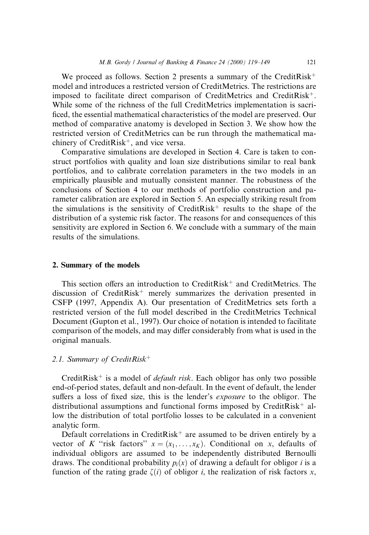We proceed as follows. Section 2 presents a summary of the CreditRisk<sup>+</sup> model and introduces a restricted version of CreditMetrics. The restrictions are imposed to facilitate direct comparison of CreditMetrics and CreditRisk. While some of the richness of the full CreditMetrics implementation is sacri ficed, the essential mathematical characteristics of the model are preserved. Our method of comparative anatomy is developed in Section 3. We show how the restricted version of CreditMetrics can be run through the mathematical machinery of CreditRisk<sup>+</sup>, and vice versa.

Comparative simulations are developed in Section 4. Care is taken to construct portfolios with quality and loan size distributions similar to real bank portfolios, and to calibrate correlation parameters in the two models in an empirically plausible and mutually consistent manner. The robustness of the conclusions of Section 4 to our methods of portfolio construction and parameter calibration are explored in Section 5. An especially striking result from the simulations is the sensitivity of CreditRisk<sup>+</sup> results to the shape of the distribution of a systemic risk factor. The reasons for and consequences of this sensitivity are explored in Section 6. We conclude with a summary of the main results of the simulations.

#### 2. Summary of the models

This section offers an introduction to  $CreditRisk^+$  and  $CreditMetrics$ . The discussion of CreditRisk<sup>+</sup> merely summarizes the derivation presented in CSFP (1997, Appendix A). Our presentation of CreditMetrics sets forth a restricted version of the full model described in the CreditMetrics Technical Document (Gupton et al., 1997). Our choice of notation is intended to facilitate comparison of the models, and may differ considerably from what is used in the original manuals.

#### 2.1. Summary of CreditRisk<sup>+</sup>

CreditRisk<sup>+</sup> is a model of *default risk*. Each obligor has only two possible end-of-period states, default and non-default. In the event of default, the lender suffers a loss of fixed size, this is the lender's *exposure* to the obligor. The distributional assumptions and functional forms imposed by  $CreditRisk^+$  allow the distribution of total portfolio losses to be calculated in a convenient analytic form.

Default correlations in CreditRisk<sup>+</sup> are assumed to be driven entirely by a vector of K "risk factors"  $x = (x_1, \ldots, x_k)$ . Conditional on x, defaults of individual obligors are assumed to be independently distributed Bernoulli draws. The conditional probability  $p_i(x)$  of drawing a default for obligor *i* is a function of the rating grade  $\zeta(i)$  of obligor *i*, the realization of risk factors x,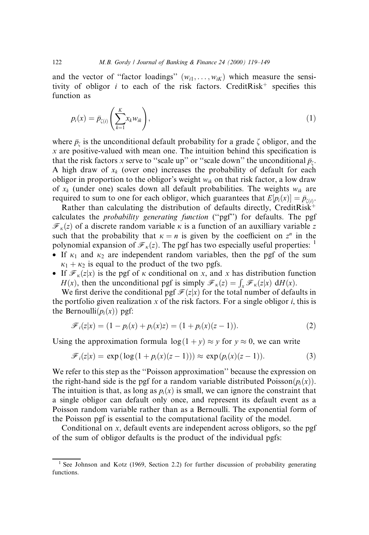and the vector of "factor loadings"  $(w_{i1}, \ldots, w_{iK})$  which measure the sensitivity of obligor i to each of the risk factors. CreditRisk<sup>+</sup> specifies this function as

$$
p_i(x) = \bar{p}_{\zeta(i)}\left(\sum_{k=1}^K x_k w_{ik}\right),\tag{1}
$$

where  $\bar{p}_\zeta$  is the unconditional default probability for a grade  $\zeta$  obligor, and the  $x$  are positive-valued with mean one. The intuition behind this specification is that the risk factors x serve to "scale up" or "scale down" the unconditional  $\bar{p}_r$ . A high draw of  $x_k$  (over one) increases the probability of default for each obligor in proportion to the obligor's weight  $w_{ik}$  on that risk factor, a low draw of  $x_k$  (under one) scales down all default probabilities. The weights  $w_{ik}$  are required to sum to one for each obligor, which guarantees that  $E[p_i(x)] = \bar{p}_{\bar{c}(i)}$ .

Rather than calculating the distribution of defaults directly, CreditRisk<sup>+</sup> calculates the *probability generating function* ("pgf") for defaults. The pgf  $\mathcal{F}_k(z)$  of a discrete random variable  $\kappa$  is a function of an auxilliary variable z such that the probability that  $\kappa = n$  is given by the coefficient on  $z^n$  in the polynomial expansion of  $\mathcal{F}_{k}(z)$ . The pgf has two especially useful properties: <sup>1</sup>

- If  $\kappa_1$  and  $\kappa_2$  are independent random variables, then the pgf of the sum  $\kappa_1 + \kappa_2$  is equal to the product of the two pgfs.
- If  $\mathcal{F}_k(z|x)$  is the pgf of  $\kappa$  conditional on x, and x has distribution function  $H(x)$ , then the unconditional pgf is simply  $\mathscr{F}_k(z) = \int_x \mathscr{F}_k(z|x) dH(x)$ .

We first derive the conditional pgf  $\mathcal{F}(z|x)$  for the total number of defaults in the portfolio given realization x of the risk factors. For a single obligor  $i$ , this is the Bernoulli $(p_i(x))$  pgf:

$$
\mathscr{F}_i(z|x) = (1 - p_i(x) + p_i(x)z) = (1 + p_i(x)(z - 1)).
$$
\n(2)

Using the approximation formula  $\log(1 + y) \approx y$  for  $y \approx 0$ , we can write

$$
\mathscr{F}_i(z|x) = \exp(\log(1 + p_i(x)(z-1))) \approx \exp(p_i(x)(z-1)). \tag{3}
$$

We refer to this step as the "Poisson approximation" because the expression on the right-hand side is the pgf for a random variable distributed  $Poisson(p_i(x))$ . The intuition is that, as long as  $p_i(x)$  is small, we can ignore the constraint that a single obligor can default only once, and represent its default event as a Poisson random variable rather than as a Bernoulli. The exponential form of the Poisson pgf is essential to the computational facility of the model.

Conditional on  $x$ , default events are independent across obligors, so the pgf of the sum of obligor defaults is the product of the individual pgfs:

<sup>&</sup>lt;sup>1</sup> See Johnson and Kotz (1969, Section 2.2) for further discussion of probability generating functions.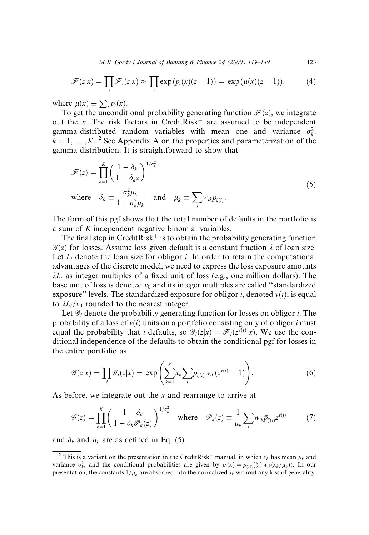*M.B. Gordy | Journal of Banking & Finance 24 (2000) 119–149* 123

$$
\mathcal{F}(z|x) = \prod_i \mathcal{F}_i(z|x) \approx \prod_i \exp(p_i(x)(z-1)) = \exp(\mu(x)(z-1)), \tag{4}
$$

where  $\mu(x) \equiv \sum_i p_i(x)$ .

To get the unconditional probability generating function  $\mathcal{F}(z)$ , we integrate out the x. The risk factors in CreditRisk<sup>+</sup> are assumed to be independent gamma-distributed random variables with mean one and variance  $\sigma_k^2$ ,  $k = 1, \ldots, K$ . <sup>2</sup> See Appendix A on the properties and parameterization of the gamma distribution. It is straightforward to show that

$$
\mathcal{F}(z) = \prod_{k=1}^{K} \left( \frac{1 - \delta_k}{1 - \delta_k z} \right)^{1/\sigma_k^2}
$$
  
where  $\delta_k \equiv \frac{\sigma_k^2 \mu_k}{1 + \sigma_k^2 \mu_k}$  and  $\mu_k \equiv \sum_i w_{ik} \bar{p}_{\zeta(i)}$ . (5)

The form of this pgf shows that the total number of defaults in the portfolio is a sum of K independent negative binomial variables.

The final step in CreditRisk<sup>+</sup> is to obtain the probability generating function  $\mathscr{G}(z)$  for losses. Assume loss given default is a constant fraction  $\lambda$  of loan size. Let  $L_i$  denote the loan size for obligor i. In order to retain the computational advantages of the discrete model, we need to express the loss exposure amounts  $\lambda L_i$  as integer multiples of a fixed unit of loss (e.g., one million dollars). The base unit of loss is denoted  $v_0$  and its integer multiples are called "standardized exposure'' levels. The standardized exposure for obligor *i*, denoted  $v(i)$ , is equal to  $\lambda L_i/v_0$  rounded to the nearest integer.

Let  $\mathcal{G}_i$  denote the probability generating function for losses on obligor *i*. The probability of a loss of  $v(i)$  units on a portfolio consisting only of obligor *i* must equal the probability that *i* defaults, so  $\mathscr{G}_i(z|x) = \mathscr{F}_i(z^{\nu(i)}|x)$ . We use the conditional independence of the defaults to obtain the conditional pgf for losses in the entire portfolio as

$$
\mathscr{G}(z|x) = \prod_i \mathscr{G}_i(z|x) = \exp\left(\sum_{k=1}^K x_k \sum_i \bar{p}_{\zeta(i)} w_{ik}(z^{v(i)} - 1)\right).
$$
 (6)

As before, we integrate out the  $x$  and rearrange to arrive at

$$
\mathscr{G}(z) = \prod_{k=1}^K \left( \frac{1 - \delta_k}{1 - \delta_k \mathscr{P}_k(z)} \right)^{1/\sigma_k^2} \quad \text{where} \quad \mathscr{P}_k(z) \equiv \frac{1}{\mu_k} \sum_i w_{ik} \bar{p}_{\zeta(i)} z^{\nu(i)} \tag{7}
$$

and  $\delta_k$  and  $\mu_k$  are as defined in Eq. (5).

<sup>&</sup>lt;sup>2</sup> This is a variant on the presentation in the CreditRisk<sup>+</sup> manual, in which  $x_k$  has mean  $\mu_k$  and variance  $\sigma_k^2$ , and the conditional probabilities are given by  $p_i(x) = \bar{p}_{\zeta(i)}(\sum w_{ik}(x_k/\mu_k))$ . In our presentation, the constants  $1/\mu_k$  are absorbed into the normalized  $x_k$  without any loss of generality.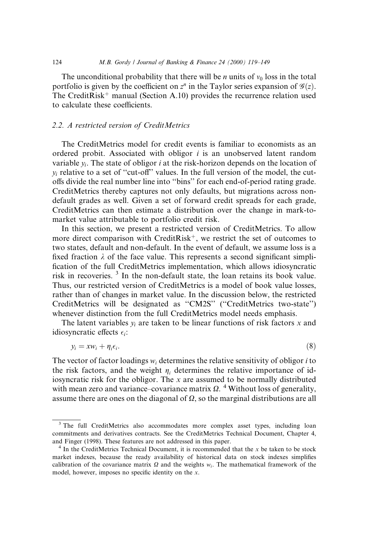The unconditional probability that there will be *n* units of  $v_0$  loss in the total portfolio is given by the coefficient on  $z^n$  in the Taylor series expansion of  $\mathcal{G}(z)$ . The CreditRisk<sup>+</sup> manual (Section A.10) provides the recurrence relation used to calculate these coefficients.

#### 2.2. A restricted version of CreditMetrics

The CreditMetrics model for credit events is familiar to economists as an ordered probit. Associated with obligor  $i$  is an unobserved latent random variable  $y_i$ . The state of obligor *i* at the risk-horizon depends on the location of  $y_i$  relative to a set of "cut-off" values. In the full version of the model, the cutoffs divide the real number line into "bins" for each end-of-period rating grade. CreditMetrics thereby captures not only defaults, but migrations across nondefault grades as well. Given a set of forward credit spreads for each grade, CreditMetrics can then estimate a distribution over the change in mark-tomarket value attributable to portfolio credit risk.

In this section, we present a restricted version of CreditMetrics. To allow more direct comparison with CreditRisk<sup>+</sup>, we restrict the set of outcomes to two states, default and non-default. In the event of default, we assume loss is a fixed fraction  $\lambda$  of the face value. This represents a second significant simplification of the full CreditMetrics implementation, which allows idiosyncratic risk in recoveries.<sup>3</sup> In the non-default state, the loan retains its book value. Thus, our restricted version of CreditMetrics is a model of book value losses, rather than of changes in market value. In the discussion below, the restricted CreditMetrics will be designated as "CM2S" ("CreditMetrics two-state") whenever distinction from the full CreditMetrics model needs emphasis.

The latent variables  $y_i$  are taken to be linear functions of risk factors x and idiosyncratic effects  $\epsilon_i$ :

$$
y_i = xw_i + \eta_i \epsilon_i. \tag{8}
$$

The vector of factor loadings  $w_i$  determines the relative sensitivity of obligor *i* to the risk factors, and the weight  $\eta_i$  determines the relative importance of idiosyncratic risk for the obligor. The  $x$  are assumed to be normally distributed with mean zero and variance-covariance matrix  $\Omega$ . <sup>4</sup> Without loss of generality, assume there are ones on the diagonal of  $\Omega$ , so the marginal distributions are all

<sup>&</sup>lt;sup>3</sup> The full CreditMetrics also accommodates more complex asset types, including loan commitments and derivatives contracts. See the CreditMetrics Technical Document, Chapter 4, and Finger (1998). These features are not addressed in this paper.<br> $4$  In the CreditMetrics Technical Document, it is recommended that the x be taken to be stock

market indexes, because the ready availability of historical data on stock indexes simplifies calibration of the covariance matrix  $\Omega$  and the weights w<sub>i</sub>. The mathematical framework of the model, however, imposes no specific identity on the  $x$ .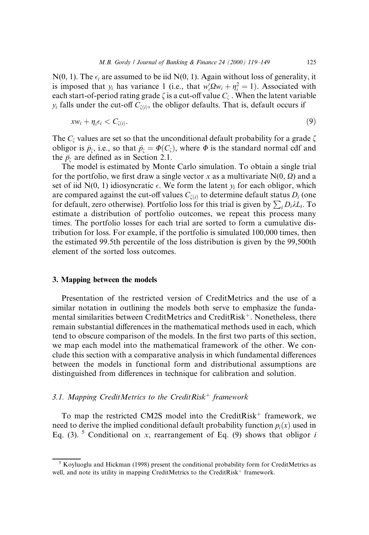$N(0, 1)$ . The  $\epsilon_i$  are assumed to be iid  $N(0, 1)$ . Again without loss of generality, it is imposed that  $y_i$  has variance 1 (i.e., that  $w_i^2 \Omega w_i + \eta_i^2 = 1$ ). Associated with each start-of-period rating grade  $\zeta$  is a cut-off value  $C_{\zeta}$ . When the latent variable  $y_i$  falls under the cut-off  $C_{\zeta(i)}$ , the obligor defaults. That is, default occurs if

$$
xw_i + \eta_i \epsilon_i < C_{\zeta(i)}.\tag{9}
$$

The  $C_{\zeta}$  values are set so that the unconditional default probability for a grade  $\zeta$ obligor is  $\bar{p}_\zeta$ , i.e., so that  $\bar{p}_\zeta = \Phi(C_\zeta)$ , where  $\Phi$  is the standard normal cdf and the  $\bar{p}_r$  are defined as in Section 2.1.

The model is estimated by Monte Carlo simulation. To obtain a single trial for the portfolio, we first draw a single vector x as a multivariate  $N(0, \Omega)$  and a set of iid N(0, 1) idiosyncratic  $\epsilon$ . We form the latent  $y_i$  for each obligor, which are compared against the cut-off values  $C_{\zeta(i)}$  to determine default status  $D_i$  (one for default, zero otherwise). Portfolio loss for this trial is given by  $\sum_i D_i \lambda L_i$ . To estimate a distribution of portfolio outcomes, we repeat this process many times. The portfolio losses for each trial are sorted to form a cumulative distribution for loss. For example, if the portfolio is simulated 100,000 times, then the estimated 99.5th percentile of the loss distribution is given by the 99,500th element of the sorted loss outcomes.

#### 3. Mapping between the models

Presentation of the restricted version of CreditMetrics and the use of a similar notation in outlining the models both serve to emphasize the fundamental similarities between CreditMetrics and CreditRisk<sup>+</sup>. Nonetheless, there remain substantial differences in the mathematical methods used in each, which tend to obscure comparison of the models. In the first two parts of this section, we map each model into the mathematical framework of the other. We conclude this section with a comparative analysis in which fundamental differences between the models in functional form and distributional assumptions are distinguished from differences in technique for calibration and solution.

#### 3.1. Mapping CreditMetrics to the CreditRisk<sup>+</sup> framework

To map the restricted CM2S model into the CreditRisk<sup>+</sup> framework, we need to derive the implied conditional default probability function  $p_i(x)$  used in Eq. (3). <sup>5</sup> Conditional on x, rearrangement of Eq. (9) shows that obligor i

 $<sup>5</sup>$  Koyluoglu and Hickman (1998) present the conditional probability form for CreditMetrics as</sup> well, and note its utility in mapping CreditMetrics to the CreditRisk<sup>+</sup> framework.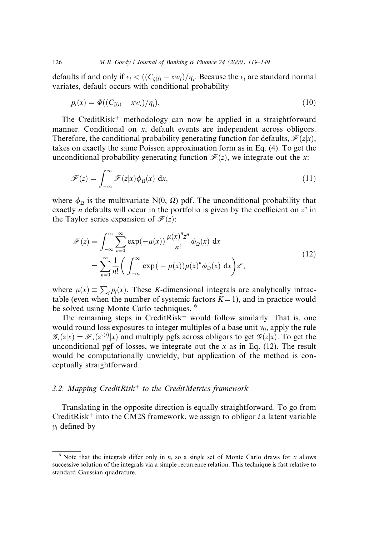defaults if and only if  $\epsilon_i < ((C_{\zeta(i)} - xw_i)/\eta_i)$ . Because the  $\epsilon_i$  are standard normal variates, default occurs with conditional probability

$$
p_i(x) = \Phi((C_{\zeta(i)} - xw_i)/\eta_i). \tag{10}
$$

The CreditRisk<sup>+</sup> methodology can now be applied in a straightforward manner. Conditional on x, default events are independent across obligors. Therefore, the conditional probability generating function for defaults,  $\mathcal{F}(z|x)$ , takes on exactly the same Poisson approximation form as in Eq. (4). To get the unconditional probability generating function  $\mathcal{F}(z)$ , we integrate out the x:

$$
\mathcal{F}(z) = \int_{-\infty}^{\infty} \mathcal{F}(z|x) \phi_{\Omega}(x) dx,
$$
\n(11)

where  $\phi_{\Omega}$  is the multivariate N(0,  $\Omega$ ) pdf. The unconditional probability that exactly *n* defaults will occur in the portfolio is given by the coefficient on  $z<sup>n</sup>$  in the Taylor series expansion of  $\mathcal{F}(z)$ :

$$
\mathcal{F}(z) = \int_{-\infty}^{\infty} \sum_{n=0}^{\infty} \exp(-\mu(x)) \frac{\mu(x)^n z^n}{n!} \phi_{\Omega}(x) dx
$$
  
= 
$$
\sum_{n=0}^{\infty} \frac{1}{n!} \left( \int_{-\infty}^{\infty} \exp(-\mu(x)) \mu(x)^n \phi_{\Omega}(x) dx \right) z^n,
$$
 (12)

where  $\mu(x) \equiv \sum_i p_i(x)$ . These K-dimensional integrals are analytically intractable (even when the number of systemic factors  $K = 1$ ), and in practice would be solved using Monte Carlo techniques.<sup>6</sup>

The remaining steps in CreditRisk<sup>+</sup> would follow similarly. That is, one would round loss exposures to integer multiples of a base unit  $v_0$ , apply the rule  $\mathscr{G}_i(z|x) = \mathscr{F}_i(z^{v(i)}|x)$  and multiply pgfs across obligors to get  $\mathscr{G}(z|x)$ . To get the unconditional pgf of losses, we integrate out the x as in Eq.  $(12)$ . The result would be computationally unwieldy, but application of the method is conceptually straightforward.

### 3.2. Mapping CreditRisk<sup>+</sup> to the CreditMetrics framework

Translating in the opposite direction is equally straightforward. To go from CreditRisk<sup>+</sup> into the CM2S framework, we assign to obligor i a latent variable  $y_i$  defined by

 $6$  Note that the integrals differ only in n, so a single set of Monte Carlo draws for x allows successive solution of the integrals via a simple recurrence relation. This technique is fast relative to standard Gaussian quadrature.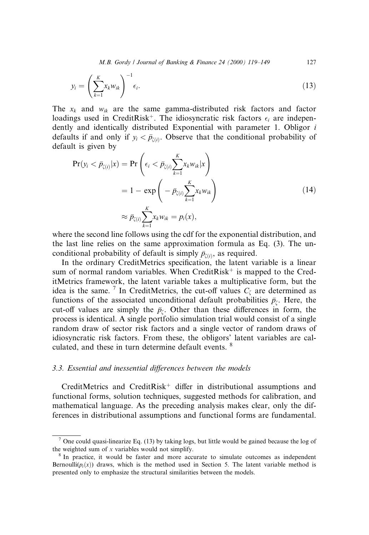*M.B. Gordy | Journal of Banking & Finance 24 (2000) 119–149* 127

$$
y_i = \left(\sum_{k=1}^K x_k w_{ik}\right)^{-1} \epsilon_i.
$$
 (13)

The  $x_k$  and  $w_{ik}$  are the same gamma-distributed risk factors and factor loadings used in CreditRisk<sup>+</sup>. The idiosyncratic risk factors  $\epsilon_i$  are independently and identically distributed Exponential with parameter 1. Obligor *i* defaults if and only if  $y_i < \bar{p}_{\zeta(i)}$ . Observe that the conditional probability of default is given by

$$
\Pr(y_i < \bar{p}_{\zeta(i)} | x) = \Pr\left(\epsilon_i < \bar{p}_{\zeta(i)} \sum_{k=1}^K x_k w_{ik} | x\right)
$$
\n
$$
= 1 - \exp\left(-\bar{p}_{\zeta(i)} \sum_{k=1}^K x_k w_{ik}\right)
$$
\n
$$
\approx \bar{p}_{\zeta(i)} \sum_{k=1}^K x_k w_{ik} = p_i(x), \tag{14}
$$

where the second line follows using the cdf for the exponential distribution, and the last line relies on the same approximation formula as Eq. (3). The unconditional probability of default is simply  $\bar{p}_{(i)}$ , as required.

In the ordinary CreditMetrics specification, the latent variable is a linear sum of normal random variables. When CreditRisk<sup>+</sup> is mapped to the CreditMetrics framework, the latent variable takes a multiplicative form, but the idea is the same. <sup>7</sup> In CreditMetrics, the cut-off values  $C_{\zeta}$  are determined as functions of the associated unconditional default probabilities  $\bar{p}_i$ . Here, the cut-off values are simply the  $\bar{p}_\zeta$ . Other than these differences in form, the process is identical. A single portfolio simulation trial would consist of a single random draw of sector risk factors and a single vector of random draws of idiosyncratic risk factors. From these, the obligors' latent variables are calculated, and these in turn determine default events. <sup>8</sup>

#### 3.3. Essential and inessential differences between the models

CreditMetrics and CreditRisk<sup>+</sup> differ in distributional assumptions and functional forms, solution techniques, suggested methods for calibration, and mathematical language. As the preceding analysis makes clear, only the differences in distributional assumptions and functional forms are fundamental.

<sup>&</sup>lt;sup>7</sup> One could quasi-linearize Eq. (13) by taking logs, but little would be gained because the log of the weighted sum of x variables would not simplify.

 $8$  In practice, it would be faster and more accurate to simulate outcomes as independent Bernoulli( $p_i(x)$ ) draws, which is the method used in Section 5. The latent variable method is presented only to emphasize the structural similarities between the models.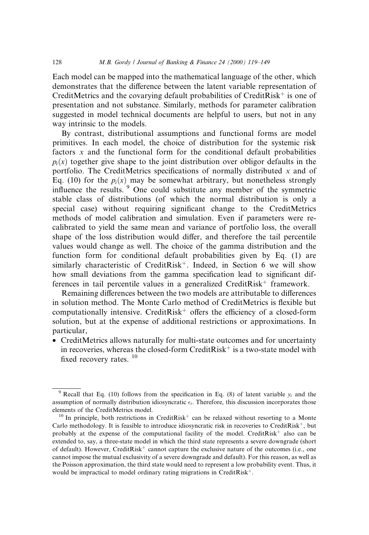Each model can be mapped into the mathematical language of the other, which demonstrates that the difference between the latent variable representation of CreditMetrics and the covarying default probabilities of CreditRisk<sup>+</sup> is one of presentation and not substance. Similarly, methods for parameter calibration suggested in model technical documents are helpful to users, but not in any way intrinsic to the models.

By contrast, distributional assumptions and functional forms are model primitives. In each model, the choice of distribution for the systemic risk factors  $x$  and the functional form for the conditional default probabilities  $p<sub>i</sub>(x)$  together give shape to the joint distribution over obligor defaults in the portfolio. The CreditMetrics specifications of normally distributed  $x$  and of Eq. (10) for the  $p_i(x)$  may be somewhat arbitrary, but nonetheless strongly influence the results.  $9$  One could substitute any member of the symmetric stable class of distributions (of which the normal distribution is only a special case) without requiring significant change to the CreditMetrics methods of model calibration and simulation. Even if parameters were recalibrated to yield the same mean and variance of portfolio loss, the overall shape of the loss distribution would differ, and therefore the tail percentile values would change as well. The choice of the gamma distribution and the function form for conditional default probabilities given by Eq. (1) are similarly characteristic of CreditRisk<sup>+</sup>. Indeed, in Section 6 we will show how small deviations from the gamma specification lead to significant differences in tail percentile values in a generalized  $CreditRisk^+$  framework.

Remaining differences between the two models are attributable to differences in solution method. The Monte Carlo method of CreditMetrics is flexible but computationally intensive. CreditRisk<sup>+</sup> offers the efficiency of a closed-form solution, but at the expense of additional restrictions or approximations. In particular,

· CreditMetrics allows naturally for multi-state outcomes and for uncertainty in recoveries, whereas the closed-form CreditRisk<sup>+</sup> is a two-state model with fixed recovery rates.  $10$ 

<sup>&</sup>lt;sup>9</sup> Recall that Eq. (10) follows from the specification in Eq. (8) of latent variable  $y_i$  and the assumption of normally distribution idiosyncratic  $\epsilon_i$ . Therefore, this discussion incorporates those elements of the CreditMetrics model.

 $10$  In principle, both restrictions in CreditRisk<sup>+</sup> can be relaxed without resorting to a Monte Carlo methodology. It is feasible to introduce idiosyncratic risk in recoveries to CreditRisk<sup>+</sup>, but probably at the expense of the computational facility of the model. CreditRisk<sup>+</sup> also can be extended to, say, a three-state model in which the third state represents a severe downgrade (short of default). However, CreditRisk<sup>+</sup> cannot capture the exclusive nature of the outcomes (i.e., one cannot impose the mutual exclusivity of a severe downgrade and default). For this reason, as well as the Poisson approximation, the third state would need to represent a low probability event. Thus, it would be impractical to model ordinary rating migrations in CreditRisk<sup>+</sup>.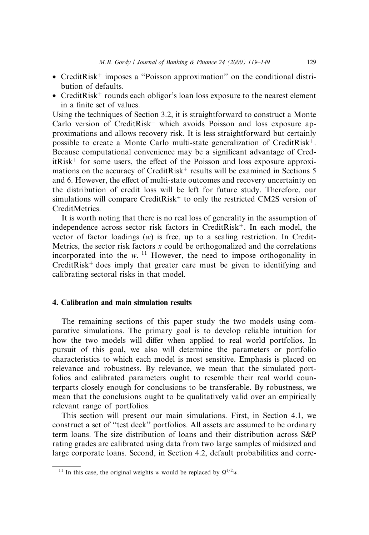- CreditRisk<sup>+</sup> imposes a "Poisson approximation" on the conditional distribution of defaults.
- CreditRisk<sup>+</sup> rounds each obligor's loan loss exposure to the nearest element in a finite set of values.

Using the techniques of Section 3.2, it is straightforward to construct a Monte Carlo version of CreditRisk<sup>+</sup> which avoids Poisson and loss exposure approximations and allows recovery risk. It is less straightforward but certainly possible to create a Monte Carlo multi-state generalization of CreditRisk<sup>+</sup>. Because computational convenience may be a significant advantage of Cred $itRisk<sup>+</sup>$  for some users, the effect of the Poisson and loss exposure approximations on the accuracy of CreditRisk<sup>+</sup> results will be examined in Sections 5 and 6. However, the effect of multi-state outcomes and recovery uncertainty on the distribution of credit loss will be left for future study. Therefore, our simulations will compare CreditRisk<sup>+</sup> to only the restricted CM2S version of CreditMetrics.

It is worth noting that there is no real loss of generality in the assumption of independence across sector risk factors in CreditRisk<sup>+</sup>. In each model, the vector of factor loadings (w) is free, up to a scaling restriction. In Credit-Metrics, the sector risk factors  $x$  could be orthogonalized and the correlations incorporated into the  $w$ . <sup>11</sup> However, the need to impose orthogonality in CreditRisk<sup>+</sup> does imply that greater care must be given to identifying and calibrating sectoral risks in that model.

#### 4. Calibration and main simulation results

The remaining sections of this paper study the two models using comparative simulations. The primary goal is to develop reliable intuition for how the two models will differ when applied to real world portfolios. In pursuit of this goal, we also will determine the parameters or portfolio characteristics to which each model is most sensitive. Emphasis is placed on relevance and robustness. By relevance, we mean that the simulated portfolios and calibrated parameters ought to resemble their real world counterparts closely enough for conclusions to be transferable. By robustness, we mean that the conclusions ought to be qualitatively valid over an empirically relevant range of portfolios.

This section will present our main simulations. First, in Section 4.1, we construct a set of "test deck" portfolios. All assets are assumed to be ordinary term loans. The size distribution of loans and their distribution across S&P rating grades are calibrated using data from two large samples of midsized and large corporate loans. Second, in Section 4.2, default probabilities and corre-

<sup>&</sup>lt;sup>11</sup> In this case, the original weights w would be replaced by  $\Omega^{1/2}$ w.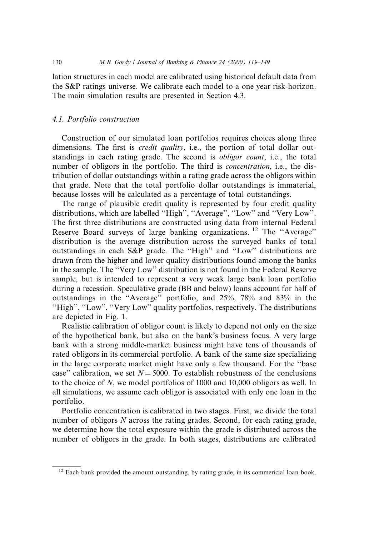lation structures in each model are calibrated using historical default data from the S&P ratings universe. We calibrate each model to a one year risk-horizon. The main simulation results are presented in Section 4.3.

#### 4.1. Portfolio construction

Construction of our simulated loan portfolios requires choices along three dimensions. The first is *credit quality*, i.e., the portion of total dollar outstandings in each rating grade. The second is obligor count, i.e., the total number of obligors in the portfolio. The third is *concentration*, i.e., the distribution of dollar outstandings within a rating grade across the obligors within that grade. Note that the total portfolio dollar outstandings is immaterial, because losses will be calculated as a percentage of total outstandings.

The range of plausible credit quality is represented by four credit quality distributions, which are labelled "High", "Average", "Low" and "Very Low". The first three distributions are constructed using data from internal Federal Reserve Board surveys of large banking organizations. <sup>12</sup> The "Average" distribution is the average distribution across the surveyed banks of total outstandings in each S&P grade. The "High" and "Low" distributions are drawn from the higher and lower quality distributions found among the banks in the sample. The "Very Low" distribution is not found in the Federal Reserve sample, but is intended to represent a very weak large bank loan portfolio during a recession. Speculative grade (BB and below) loans account for half of outstandings in the ``Average'' portfolio, and 25%, 78% and 83% in the "High", "Low", "Very Low" quality portfolios, respectively. The distributions are depicted in Fig. 1.

Realistic calibration of obligor count is likely to depend not only on the size of the hypothetical bank, but also on the bank's business focus. A very large bank with a strong middle-market business might have tens of thousands of rated obligors in its commercial portfolio. A bank of the same size specializing in the large corporate market might have only a few thousand. For the "base" case" calibration, we set  $N = 5000$ . To establish robustness of the conclusions to the choice of N, we model portfolios of 1000 and 10,000 obligors as well. In all simulations, we assume each obligor is associated with only one loan in the portfolio.

Portfolio concentration is calibrated in two stages. First, we divide the total number of obligors N across the rating grades. Second, for each rating grade, we determine how the total exposure within the grade is distributed across the number of obligors in the grade. In both stages, distributions are calibrated

<sup>&</sup>lt;sup>12</sup> Each bank provided the amount outstanding, by rating grade, in its commericial loan book.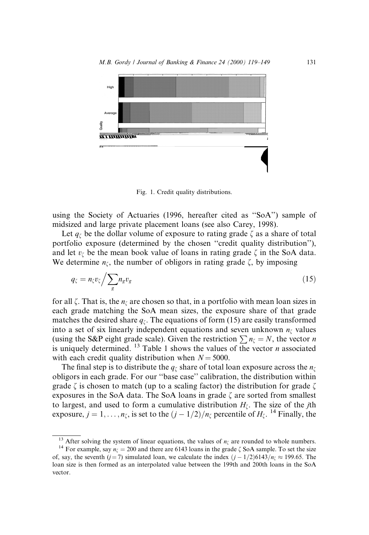

Fig. 1. Credit quality distributions.

using the Society of Actuaries (1996, hereafter cited as "SoA") sample of midsized and large private placement loans (see also Carey, 1998).

Let  $q_i$  be the dollar volume of exposure to rating grade  $\zeta$  as a share of total portfolio exposure (determined by the chosen "credit quality distribution"), and let  $v_{\zeta}$  be the mean book value of loans in rating grade  $\zeta$  in the SoA data. We determine  $n_{\zeta}$ , the number of obligors in rating grade  $\zeta$ , by imposing

$$
q_{\zeta} = n_{\zeta} v_{\zeta} / \sum_{g} n_{g} v_{g} \tag{15}
$$

for all  $\zeta$ . That is, the  $n_{\zeta}$  are chosen so that, in a portfolio with mean loan sizes in each grade matching the SoA mean sizes, the exposure share of that grade matches the desired share  $q<sub>r</sub>$ . The equations of form (15) are easily transformed into a set of six linearly independent equations and seven unknown  $n<sub>\zeta</sub>$  values (using the S&P eight grade scale). Given the restriction  $\sum n_{\zeta} = N$ , the vector n is uniquely determined. <sup>13</sup> Table 1 shows the values of the vector *n* associated with each credit quality distribution when  $N = 5000$ .

The final step is to distribute the  $q_f$  share of total loan exposure across the  $n_f$ obligors in each grade. For our "base case" calibration, the distribution within grade  $\zeta$  is chosen to match (up to a scaling factor) the distribution for grade  $\zeta$ exposures in the SoA data. The SoA loans in grade  $\zeta$  are sorted from smallest to largest, and used to form a cumulative distribution  $H_{\zeta}$ . The size of the *j*th exposure,  $j = 1, \ldots, n_{\zeta}$ , is set to the  $(j - 1/2)/n_{\zeta}$  percentile of  $H_{\zeta}$ . <sup>14</sup> Finally, the

<sup>&</sup>lt;sup>13</sup> After solving the system of linear equations, the values of  $n_{\zeta}$  are rounded to whole numbers. <sup>14</sup> For example, say  $n_{\zeta} = 200$  and there are 6143 loans in the grade  $\zeta$  SoA sample. To set the size

of, say, the seventh (j = 7) simulated loan, we calculate the index  $(j - 1/2)6143/n_c \approx 199.65$ . The loan size is then formed as an interpolated value between the 199th and 200th loans in the SoA vector.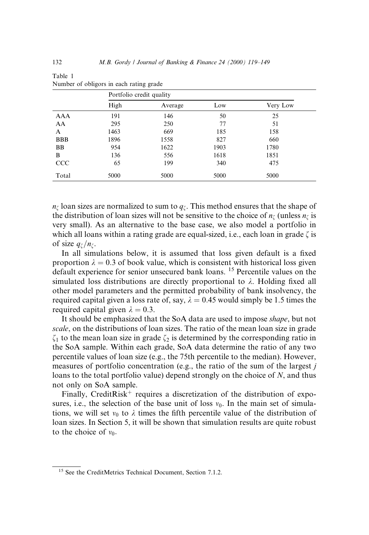|            | Portfolio credit quality |         |      |          |  |
|------------|--------------------------|---------|------|----------|--|
|            | High                     | Average | Low  | Very Low |  |
| AAA        | 191                      | 146     | 50   | 25       |  |
| AA         | 295                      | 250     | 77   | 51       |  |
| A          | 1463                     | 669     | 185  | 158      |  |
| <b>BBB</b> | 1896                     | 1558    | 827  | 660      |  |
| <b>BB</b>  | 954                      | 1622    | 1903 | 1780     |  |
| B          | 136                      | 556     | 1618 | 1851     |  |
| CCC        | 65                       | 199     | 340  | 475      |  |
| Total      | 5000                     | 5000    | 5000 | 5000     |  |

Table 1 Number of obligors in each rating grade

 $n_{\zeta}$  loan sizes are normalized to sum to  $q_{\zeta}$ . This method ensures that the shape of the distribution of loan sizes will not be sensitive to the choice of  $n_f$  (unless  $n_f$  is very small). As an alternative to the base case, we also model a portfolio in which all loans within a rating grade are equal-sized, i.e., each loan in grade  $\zeta$  is of size  $q_i/n_i$ .

In all simulations below, it is assumed that loss given default is a fixed proportion  $\lambda = 0.3$  of book value, which is consistent with historical loss given default experience for senior unsecured bank loans. <sup>15</sup> Percentile values on the simulated loss distributions are directly proportional to  $\lambda$ . Holding fixed all other model parameters and the permitted probability of bank insolvency, the required capital given a loss rate of, say,  $\lambda = 0.45$  would simply be 1.5 times the required capital given  $\lambda = 0.3$ .

It should be emphasized that the SoA data are used to impose shape, but not scale, on the distributions of loan sizes. The ratio of the mean loan size in grade  $\zeta_1$  to the mean loan size in grade  $\zeta_2$  is determined by the corresponding ratio in the SoA sample. Within each grade, SoA data determine the ratio of any two percentile values of loan size (e.g., the 75th percentile to the median). However, measures of portfolio concentration (e.g., the ratio of the sum of the largest  $j$ loans to the total portfolio value) depend strongly on the choice of N, and thus not only on SoA sample.

Finally, CreditRisk<sup>+</sup> requires a discretization of the distribution of exposures, i.e., the selection of the base unit of loss  $v_0$ . In the main set of simulations, we will set  $v_0$  to  $\lambda$  times the fifth percentile value of the distribution of loan sizes. In Section 5, it will be shown that simulation results are quite robust to the choice of  $v_0$ .

<sup>&</sup>lt;sup>15</sup> See the CreditMetrics Technical Document, Section 7.1.2.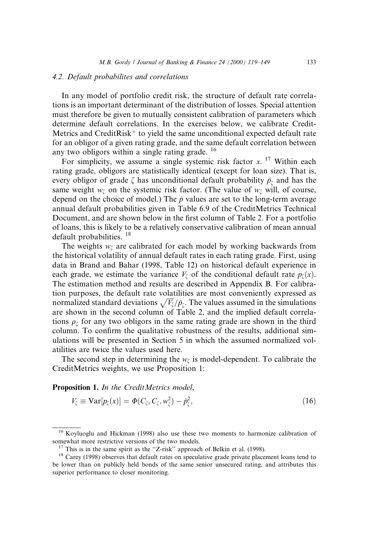#### 4.2. Default probabilites and correlations

In any model of portfolio credit risk, the structure of default rate correlations is an important determinant of the distribution of losses. Special attention must therefore be given to mutually consistent calibration of parameters which determine default correlations. In the exercises below, we calibrate Credit-Metrics and CreditRisk<sup>+</sup> to yield the same unconditional expected default rate for an obligor of a given rating grade, and the same default correlation between any two obligors within a single rating grade. <sup>16</sup>

For simplicity, we assume a single systemic risk factor x.  $^{17}$  Within each rating grade, obligors are statistically identical (except for loan size). That is, every obligor of grade  $\zeta$  has unconditional default probability  $\bar{p}_\zeta$  and has the same weight  $w_{\zeta}$  on the systemic risk factor. (The value of  $w_{\zeta}$  will, of course, depend on the choice of model.) The  $\bar{p}$  values are set to the long-term average annual default probabilities given in Table 6.9 of the CreditMetrics Technical Document, and are shown below in the first column of Table 2. For a portfolio of loans, this is likely to be a relatively conservative calibration of mean annual default probabilities. <sup>18</sup>

The weights  $w_{\zeta}$  are calibrated for each model by working backwards from the historical volatility of annual default rates in each rating grade. First, using data in Brand and Bahar (1998, Table 12) on historical default experience in each grade, we estimate the variance  $V_{\zeta}$  of the conditional default rate  $p_{\zeta}(x)$ . The estimation method and results are described in Appendix B. For calibration purposes, the default rate volatilities are most conveniently expressed as normalized standard deviations  $\sqrt{V_{\zeta}}/\bar{p}_{\zeta}$ . The values assumed in the simulations are shown in the second column of Table 2, and the implied default correlations  $\rho_f$  for any two obligors in the same rating grade are shown in the third column. To confirm the qualitative robustness of the results, additional simulations will be presented in Section 5 in which the assumed normalized volatilities are twice the values used here.

The second step in determining the  $w_{\zeta}$  is model-dependent. To calibrate the CreditMetrics weights, we use Proposition 1:

Proposition 1. In the CreditMetrics model,

$$
V_{\zeta} \equiv \text{Var}[p_{\zeta}(x)] = \Phi(C_{\zeta}, C_{\zeta}, w_{\zeta}^2) - \bar{p}_{\zeta}^2,
$$
\n(16)

<sup>&</sup>lt;sup>16</sup> Koyluoglu and Hickman (1998) also use these two moments to harmonize calibration of somewhat more restrictive versions of the two models.<br><sup>17</sup> This is in the same spirit as the "Z-risk" approach of Belkin et al. (1998).<br><sup>18</sup> Carey (1998) observes that default rates on speculative grade private placement

be lower than on publicly held bonds of the same senior unsecured rating, and attributes this superior performance to closer monitoring.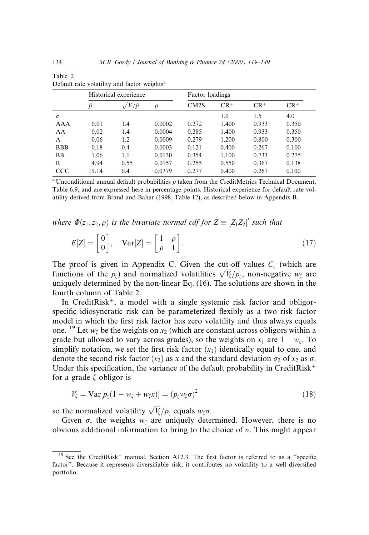|            | Historical experience |            |        | Factor loadings   |        |        |        |
|------------|-----------------------|------------|--------|-------------------|--------|--------|--------|
|            | $\bar{p}$             | $/\bar{p}$ | $\rho$ | CM <sub>2</sub> S | $CR^+$ | $CR^+$ | $CR^+$ |
| $\sigma$   |                       |            |        |                   | 1.0    | 1.5    | 4.0    |
| AAA        | 0.01                  | 1.4        | 0.0002 | 0.272             | 1.400  | 0.933  | 0.350  |
| AA         | 0.02                  | 1.4        | 0.0004 | 0.285             | 1.400  | 0.933  | 0.350  |
| A          | 0.06                  | 1.2        | 0.0009 | 0.279             | 1.200  | 0.800  | 0.300  |
| <b>BBB</b> | 0.18                  | 0.4        | 0.0003 | 0.121             | 0.400  | 0.267  | 0.100  |
| <b>BB</b>  | 1.06                  | 1.1        | 0.0130 | 0.354             | 1.100  | 0.733  | 0.275  |
| B          | 4.94                  | 0.55       | 0.0157 | 0.255             | 0.550  | 0.367  | 0.138  |
| CCC        | 19.14                 | 0.4        | 0.0379 | 0.277             | 0.400  | 0.267  | 0.100  |

Table 2 Default rate volatility and factor weights<sup>a</sup>

<sup>a</sup> Unconditional annual default probabilities  $\bar{p}$  taken from the CreditMetrics Technical Document, Table 6.9, and are expressed here in percentage points. Historical experience for default rate volatility derived from Brand and Bahar (1998, Table 12), as described below in Appendix B.

where  $\Phi(z_1, z_2, \rho)$  is the bivariate normal cdf for  $Z \equiv [Z_1 Z_2]'$  such that

$$
E[Z] = \begin{bmatrix} 0 \\ 0 \end{bmatrix}, \quad \text{Var}[Z] = \begin{bmatrix} 1 & \rho \\ \rho & 1 \end{bmatrix}.
$$
 (17)

The proof is given in Appendix C. Given the cut-off values  $C_{\zeta}$  (which are functions of the  $\bar{p}_{\zeta}$ ) and normalized volatilities  $\sqrt{V_{\zeta}}/\bar{p}_{\zeta}$ , non-negative  $w_{\zeta}$  are uniquely determined by the non-linear Eq. (16). The solutions are shown in the fourth column of Table 2.

In CreditRisk<sup>+</sup>, a model with a single systemic risk factor and obligorspecific idiosyncratic risk can be parameterized flexibly as a two risk factor model in which the first risk factor has zero volatility and thus always equals one. <sup>19</sup> Let  $w_{\zeta}$  be the weights on  $x_2$  (which are constant across obligors within a grade but allowed to vary across grades), so the weights on  $x_1$  are  $1 - w_f$ . To simplify notation, we set the first risk factor  $(x_1)$  identically equal to one, and denote the second risk factor  $(x_2)$  as x and the standard deviation  $\sigma_2$  of  $x_2$  as  $\sigma$ . Under this specification, the variance of the default probability in CreditRisk<sup>+</sup> for a grade  $\zeta$  obligor is

$$
V_{\zeta} = \text{Var}[\bar{p}_{\zeta}(1 - w_{\zeta} + w_{\zeta}x)] = (\bar{p}_{\zeta}w_{\zeta}\sigma)^2
$$
\n(18)

so the normalized volatility  $\sqrt{V_{\zeta}}/\bar{p}_{\zeta}$  equals  $w_{\zeta}\sigma$ .

Given  $\sigma$ , the weights  $w_{\zeta}$  are uniquely determined. However, there is no obvious additional information to bring to the choice of  $\sigma$ . This might appear

 $19$  See the CreditRisk<sup>+</sup> manual, Section A12.3. The first factor is referred to as a "specific factor". Because it represents diversifiable risk, it contributes no volatility to a well diversified portfolio.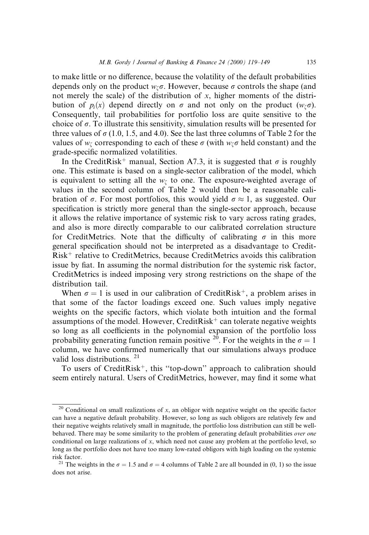to make little or no difference, because the volatility of the default probabilities depends only on the product  $w_l \sigma$ . However, because  $\sigma$  controls the shape (and not merely the scale) of the distribution of x, higher moments of the distribution of  $p_i(x)$  depend directly on  $\sigma$  and not only on the product  $(w_i \sigma)$ . Consequently, tail probabilities for portfolio loss are quite sensitive to the choice of  $\sigma$ . To illustrate this sensitivity, simulation results will be presented for three values of  $\sigma$  (1.0, 1.5, and 4.0). See the last three columns of Table 2 for the values of  $w_i$  corresponding to each of these  $\sigma$  (with  $w_i\sigma$  held constant) and the grade-specific normalized volatilities.

In the CreditRisk<sup>+</sup> manual, Section A7.3, it is suggested that  $\sigma$  is roughly one. This estimate is based on a single-sector calibration of the model, which is equivalent to setting all the  $w<sub>\zeta</sub>$  to one. The exposure-weighted average of values in the second column of Table 2 would then be a reasonable calibration of  $\sigma$ . For most portfolios, this would yield  $\sigma \approx 1$ , as suggested. Our specification is strictly more general than the single-sector approach, because it allows the relative importance of systemic risk to vary across rating grades, and also is more directly comparable to our calibrated correlation structure for CreditMetrics. Note that the difficulty of calibrating  $\sigma$  in this more general specification should not be interpreted as a disadvantage to Credit- $Risk<sup>+</sup>$  relative to CreditMetrics, because CreditMetrics avoids this calibration issue by fiat. In assuming the normal distribution for the systemic risk factor, CreditMetrics is indeed imposing very strong restrictions on the shape of the distribution tail.

When  $\sigma = 1$  is used in our calibration of CreditRisk<sup>+</sup>, a problem arises in that some of the factor loadings exceed one. Such values imply negative weights on the specific factors, which violate both intuition and the formal assumptions of the model. However, CreditRisk<sup>+</sup> can tolerate negative weights so long as all coefficients in the polynomial expansion of the portfolio loss probability generating function remain positive <sup>20</sup>. For the weights in the  $\sigma = 1$ column, we have confirmed numerically that our simulations always produce valid loss distributions. <sup>21</sup>

To users of CreditRisk<sup>+</sup>, this "top-down" approach to calibration should seem entirely natural. Users of CreditMetrics, however, may find it some what

<sup>&</sup>lt;sup>20</sup> Conditional on small realizations of x, an obligor with negative weight on the specific factor can have a negative default probability. However, so long as such obligors are relatively few and their negative weights relatively small in magnitude, the portfolio loss distribution can still be wellbehaved. There may be some similarity to the problem of generating default probabilities *over one* conditional on large realizations of x, which need not cause any problem at the portfolio level, so long as the portfolio does not have too many low-rated obligors with high loading on the systemic risk factor.<br><sup>21</sup> The weights in the  $\sigma = 1.5$  and  $\sigma = 4$  columns of Table 2 are all bounded in (0, 1) so the issue

does not arise.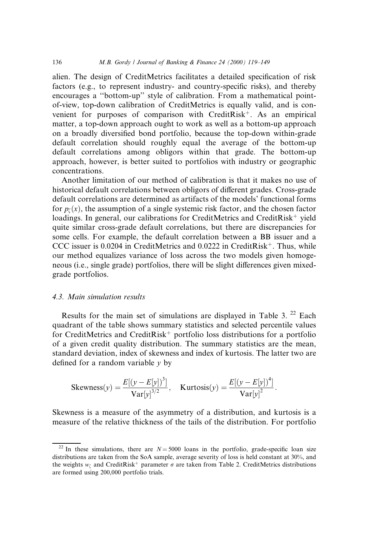alien. The design of CreditMetrics facilitates a detailed specification of risk factors (e.g., to represent industry- and country-specific risks), and thereby encourages a "bottom-up" style of calibration. From a mathematical pointof-view, top-down calibration of CreditMetrics is equally valid, and is convenient for purposes of comparison with CreditRisk<sup>+</sup>. As an empirical matter, a top-down approach ought to work as well as a bottom-up approach on a broadly diversified bond portfolio, because the top-down within-grade default correlation should roughly equal the average of the bottom-up default correlations among obligors within that grade. The bottom-up approach, however, is better suited to portfolios with industry or geographic concentrations.

Another limitation of our method of calibration is that it makes no use of historical default correlations between obligors of different grades. Cross-grade default correlations are determined as artifacts of the models' functional forms for  $p_f(x)$ , the assumption of a single systemic risk factor, and the chosen factor loadings. In general, our calibrations for CreditMetrics and CreditRisk<sup>+</sup> yield quite similar cross-grade default correlations, but there are discrepancies for some cells. For example, the default correlation between a BB issuer and a CCC issuer is  $0.0204$  in CreditMetrics and  $0.0222$  in CreditRisk<sup>+</sup>. Thus, while our method equalizes variance of loss across the two models given homogeneous (i.e., single grade) portfolios, there will be slight differences given mixedgrade portfolios.

#### 4.3. Main simulation results

Results for the main set of simulations are displayed in Table 3.<sup>22</sup> Each quadrant of the table shows summary statistics and selected percentile values for CreditMetrics and CreditRisk<sup>+</sup> portfolio loss distributions for a portfolio of a given credit quality distribution. The summary statistics are the mean, standard deviation, index of skewness and index of kurtosis. The latter two are defined for a random variable  $\nu$  by

Skewness
$$
(y) = \frac{E[(y - E[y])^3]}{\text{Var}[y]^{3/2}}
$$
, Kurtosis $(y) = \frac{E[(y - E[y])^4]}{\text{Var}[y]^2}$ .

Skewness is a measure of the asymmetry of a distribution, and kurtosis is a measure of the relative thickness of the tails of the distribution. For portfolio

<sup>&</sup>lt;sup>22</sup> In these simulations, there are  $N = 5000$  loans in the portfolio, grade-specific loan size distributions are taken from the SoA sample, average severity of loss is held constant at 30%, and the weights  $w_i$  and CreditRisk<sup>+</sup> parameter  $\sigma$  are taken from Table 2. CreditMetrics distributions are formed using 200,000 portfolio trials.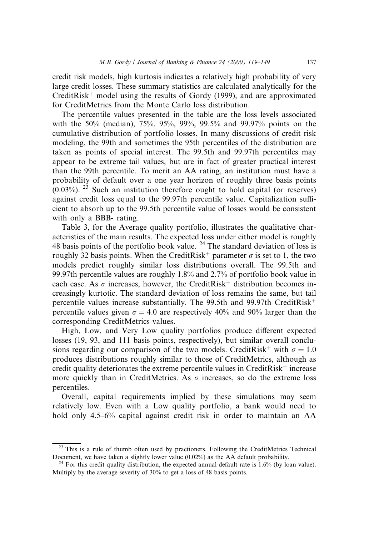credit risk models, high kurtosis indicates a relatively high probability of very large credit losses. These summary statistics are calculated analytically for the CreditRisk<sup>+</sup> model using the results of Gordy (1999), and are approximated for CreditMetrics from the Monte Carlo loss distribution.

The percentile values presented in the table are the loss levels associated with the 50% (median), 75%, 95%, 99%, 99.5% and 99.97% points on the cumulative distribution of portfolio losses. In many discussions of credit risk modeling, the 99th and sometimes the 95th percentiles of the distribution are taken as points of special interest. The 99.5th and 99.97th percentiles may appear to be extreme tail values, but are in fact of greater practical interest than the 99th percentile. To merit an AA rating, an institution must have a probability of default over a one year horizon of roughly three basis points  $(0.03\%)$ . <sup>23</sup> Such an institution therefore ought to hold capital (or reserves) against credit loss equal to the 99.97th percentile value. Capitalization sufficient to absorb up to the 99.5th percentile value of losses would be consistent with only a BBB- rating.

Table 3, for the Average quality portfolio, illustrates the qualitative characteristics of the main results. The expected loss under either model is roughly 48 basis points of the portfolio book value. <sup>24</sup> The standard deviation of loss is roughly 32 basis points. When the CreditRisk<sup>+</sup> parameter  $\sigma$  is set to 1, the two models predict roughly similar loss distributions overall. The 99.5th and 99.97th percentile values are roughly 1.8% and 2.7% of portfolio book value in each case. As  $\sigma$  increases, however, the CreditRisk<sup>+</sup> distribution becomes increasingly kurtotic. The standard deviation of loss remains the same, but tail percentile values increase substantially. The 99.5th and 99.97th CreditRisk percentile values given  $\sigma = 4.0$  are respectively 40% and 90% larger than the corresponding CreditMetrics values.

High, Low, and Very Low quality portfolios produce different expected losses (19, 93, and 111 basis points, respectively), but similar overall conclusions regarding our comparison of the two models. CreditRisk<sup>+</sup> with  $\sigma = 1.0$ produces distributions roughly similar to those of CreditMetrics, although as credit quality deteriorates the extreme percentile values in  $C$ reditRisk<sup>+</sup> increase more quickly than in CreditMetrics. As  $\sigma$  increases, so do the extreme loss percentiles.

Overall, capital requirements implied by these simulations may seem relatively low. Even with a Low quality portfolio, a bank would need to hold only 4.5–6% capital against credit risk in order to maintain an AA

<sup>&</sup>lt;sup>23</sup> This is a rule of thumb often used by practioners. Following the CreditMetrics Technical Document, we have taken a slightly lower value (0.02%) as the AA default probability.<br><sup>24</sup> For this credit quality distribution, the expected annual default rate is 1.6% (by loan value).

Multiply by the average severity of 30% to get a loss of 48 basis points.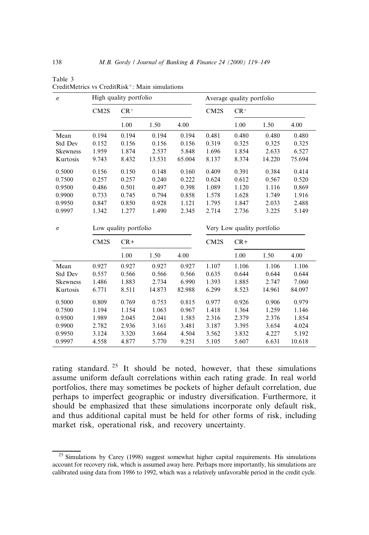| $\sigma$        |                   | High quality portfolio |                       |        |                            | Average quality portfolio |        |        |
|-----------------|-------------------|------------------------|-----------------------|--------|----------------------------|---------------------------|--------|--------|
|                 | CM <sub>2</sub> S | $CR+$                  |                       |        | CM <sub>2</sub> S          | $CR+$                     |        |        |
|                 |                   | 1.00                   | 1.50                  | 4.00   |                            | 1.00                      | 1.50   | 4.00   |
| Mean            | 0.194             | 0.194                  | 0.194                 | 0.194  | 0.481                      | 0.480                     | 0.480  | 0.480  |
| Std Dev         | 0.152             | 0.156                  | 0.156                 | 0.156  | 0.319                      | 0.325                     | 0.325  | 0.325  |
| Skewness        | 1.959             | 1.874                  | 2.537                 | 5.848  | 1.696                      | 1.854                     | 2.633  | 6.527  |
| Kurtosis        | 9.743             | 8.432                  | 13.531                | 65.004 | 8.137                      | 8.374                     | 14.220 | 75.694 |
| 0.5000          | 0.156             | 0.150                  | 0.148                 | 0.160  | 0.409                      | 0.391                     | 0.384  | 0.414  |
| 0.7500          | 0.257             | 0.257                  | 0.240                 | 0.222  | 0.624                      | 0.612                     | 0.567  | 0.520  |
| 0.9500          | 0.486             | 0.501                  | 0.497                 | 0.398  | 1.089                      | 1.120                     | 1.116  | 0.869  |
| 0.9900          | 0.733             | 0.745                  | 0.794                 | 0.858  | 1.578                      | 1.628                     | 1.749  | 1.916  |
| 0.9950          | 0.847             | 0.850                  | 0.928                 | 1.121  | 1.795                      | 1.847                     | 2.033  | 2.488  |
| 0.9997          | 1.342             | 1.277                  | 1.490                 | 2.345  | 2.714                      | 2.736                     | 3.225  | 5.149  |
| $\sigma$        |                   |                        | Low quality portfolio |        | Very Low quality portfolio |                           |        |        |
|                 | CM <sub>2</sub> S | $CR+$                  |                       |        | CM <sub>2</sub> S          | $CR+$                     |        |        |
|                 |                   | 1.00                   | 1.50                  | 4.00   |                            | 1.00                      | 1.50   | 4.00   |
| Mean            | 0.927             | 0.927                  | 0.927                 | 0.927  | 1.107                      | 1.106                     | 1.106  | 1.106  |
| Std Dev         | 0.557             | 0.566                  | 0.566                 | 0.566  | 0.635                      | 0.644                     | 0.644  | 0.644  |
| <b>Skewness</b> | 1.486             | 1.883                  | 2.734                 | 6.990  | 1.393                      | 1.885                     | 2.747  | 7.060  |
| Kurtosis        | 6.771             | 8.511                  | 14.873                | 82.988 | 6.299                      | 8.523                     | 14.961 | 84.097 |
| 0.5000          | 0.809             | 0.769                  | 0.753                 | 0.815  | 0.977                      | 0.926                     | 0.906  | 0.979  |
| 0.7500          | 1.194             | 1.154                  | 1.063                 | 0.967  | 1.418                      | 1.364                     | 1.259  | 1.146  |
| 0.9500          | 1.989             | 2.045                  | 2.041                 | 1.585  | 2.316                      | 2.379                     | 2.376  | 1.854  |
| 0.9900          | 2.782             | 2.936                  | 3.161                 | 3.481  | 3.187                      | 3.395                     | 3.654  | 4.024  |
| 0.9950          | 3.124             | 3.320                  | 3.664                 | 4.504  | 3.562                      | 3.832                     | 4.227  | 5.192  |
| 0.9997          | 4.558             | 4.877                  | 5.770                 | 9.251  | 5.105                      | 5.607                     | 6.631  | 10.618 |

Table 3 CreditMetrics vs CreditRisk<sup>+</sup>: Main simulations

rating standard. <sup>25</sup> It should be noted, however, that these simulations assume uniform default correlations within each rating grade. In real world portfolios, there may sometimes be pockets of higher default correlation, due perhaps to imperfect geographic or industry diversification. Furthermore, it should be emphasized that these simulations incorporate only default risk, and thus additional capital must be held for other forms of risk, including market risk, operational risk, and recovery uncertainty.

<sup>&</sup>lt;sup>25</sup> Simulations by Carey (1998) suggest somewhat higher capital requirements. His simulations account for recovery risk, which is assumed away here. Perhaps more importantly, his simulations are calibrated using data from 1986 to 1992, which was a relatively unfavorable period in the credit cycle.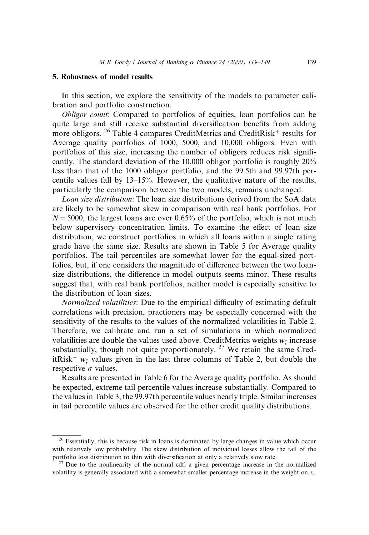#### 5. Robustness of model results

In this section, we explore the sensitivity of the models to parameter calibration and portfolio construction.

Obligor count: Compared to portfolios of equities, loan portfolios can be quite large and still receive substantial diversification benefits from adding more obligors. <sup>26</sup> Table 4 compares CreditMetrics and CreditRisk<sup>+</sup> results for Average quality portfolios of 1000, 5000, and 10,000 obligors. Even with portfolios of this size, increasing the number of obligors reduces risk significantly. The standard deviation of the 10,000 obligor portfolio is roughly 20% less than that of the 1000 obligor portfolio, and the 99.5th and 99.97th percentile values fall by  $13-15%$ . However, the qualitative nature of the results, particularly the comparison between the two models, remains unchanged.

Loan size distribution: The loan size distributions derived from the SoA data are likely to be somewhat skew in comparison with real bank portfolios. For  $N = 5000$ , the largest loans are over 0.65% of the portfolio, which is not much below supervisory concentration limits. To examine the effect of loan size distribution, we construct portfolios in which all loans within a single rating grade have the same size. Results are shown in Table 5 for Average quality portfolios. The tail percentiles are somewhat lower for the equal-sized portfolios, but, if one considers the magnitude of difference between the two loansize distributions, the difference in model outputs seems minor. These results suggest that, with real bank portfolios, neither model is especially sensitive to the distribution of loan sizes.

Normalized volatilities: Due to the empirical difficulty of estimating default correlations with precision, practioners may be especially concerned with the sensitivity of the results to the values of the normalized volatilities in Table 2. Therefore, we calibrate and run a set of simulations in which normalized volatilities are double the values used above. CreditMetrics weights  $w_i$  increase substantially, though not quite proportionately.  $27$  We retain the same CreditRisk<sup>+</sup>  $w<sub>i</sub>$  values given in the last three columns of Table 2, but double the respective  $\sigma$  values.

Results are presented in Table 6 for the Average quality portfolio. As should be expected, extreme tail percentile values increase substantially. Compared to the values in Table 3, the 99.97th percentile values nearly triple. Similar increases in tail percentile values are observed for the other credit quality distributions.

<sup>&</sup>lt;sup>26</sup> Essentially, this is because risk in loans is dominated by large changes in value which occur with relatively low probability. The skew distribution of individual losses allow the tail of the portfolio loss distribution to thin with diversification at only a relatively slow rate. <sup>27</sup> Due to the nonlinearity of the normal cdf, a given percentage increase in the normalized

volatility is generally associated with a somewhat smaller percentage increase in the weight on x.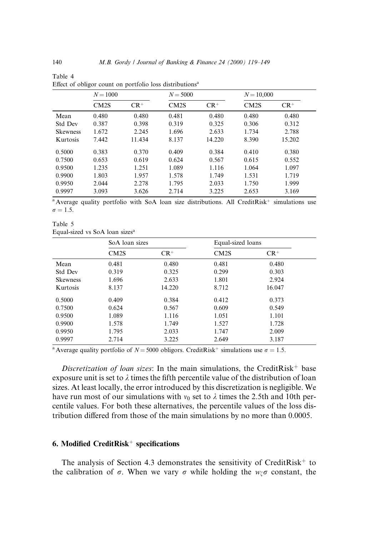|                 | $N = 1000$ |        | $N = 5000$ |        |       | $N = 10,000$ |
|-----------------|------------|--------|------------|--------|-------|--------------|
|                 | CM2S       | $CR^+$ | CM2S       | $CR^+$ | CM2S  | $CR^+$       |
| Mean            | 0.480      | 0.480  | 0.481      | 0.480  | 0.480 | 0.480        |
| <b>Std Dev</b>  | 0.387      | 0.398  | 0.319      | 0.325  | 0.306 | 0.312        |
| <b>Skewness</b> | 1.672      | 2.245  | 1.696      | 2.633  | 1.734 | 2.788        |
| Kurtosis        | 7.442      | 11.434 | 8.137      | 14.220 | 8.390 | 15.202       |
| 0.5000          | 0.383      | 0.370  | 0.409      | 0.384  | 0.410 | 0.380        |
| 0.7500          | 0.653      | 0.619  | 0.624      | 0.567  | 0.615 | 0.552        |
| 0.9500          | 1.235      | 1.251  | 1.089      | 1.116  | 1.064 | 1.097        |
| 0.9900          | 1.803      | 1.957  | 1.578      | 1.749  | 1.531 | 1.719        |
| 0.9950          | 2.044      | 2.278  | 1.795      | 2.033  | 1.750 | 1.999        |
| 0.9997          | 3.093      | 3.626  | 2.714      | 3.225  | 2.653 | 3.169        |

Table 4 Effect of obligor count on portfolio loss distributions<sup>a</sup>

<sup>a</sup> Average quality portfolio with SoA loan size distributions. All CreditRisk<sup>+</sup> simulations use  $\sigma = 1.5$ .

Table 5 Equal-sized vs SoA loan sizes<sup>a</sup>

|                 | SoA loan sizes    |        | Equal-sized loans |        |  |
|-----------------|-------------------|--------|-------------------|--------|--|
|                 | CM <sub>2</sub> S | $CR^+$ | CM2S              | $CR^+$ |  |
| Mean            | 0.481             | 0.480  | 0.481             | 0.480  |  |
| <b>Std Dev</b>  | 0.319             | 0.325  | 0.299             | 0.303  |  |
| <b>Skewness</b> | 1.696             | 2.633  | 1.801             | 2.924  |  |
| Kurtosis        | 8.137             | 14.220 | 8.712             | 16.047 |  |
| 0.5000          | 0.409             | 0.384  | 0.412             | 0.373  |  |
| 0.7500          | 0.624             | 0.567  | 0.609             | 0.549  |  |
| 0.9500          | 1.089             | 1.116  | 1.051             | 1.101  |  |
| 0.9900          | 1.578             | 1.749  | 1.527             | 1.728  |  |
| 0.9950          | 1.795             | 2.033  | 1.747             | 2.009  |  |
| 0.9997          | 2.714             | 3.225  | 2.649             | 3.187  |  |

<sup>a</sup> Average quality portfolio of  $N = 5000$  obligors. CreditRisk<sup>+</sup> simulations use  $\sigma = 1.5$ .

Discretization of loan sizes: In the main simulations, the CreditRisk<sup>+</sup> base exposure unit is set to  $\lambda$  times the fifth percentile value of the distribution of loan sizes. At least locally, the error introduced by this discretization is negligible. We have run most of our simulations with  $v_0$  set to  $\lambda$  times the 2.5th and 10th percentile values. For both these alternatives, the percentile values of the loss distribution differed from those of the main simulations by no more than 0.0005.

#### 6. Modified CreditRisk<sup>+</sup> specifications

The analysis of Section 4.3 demonstrates the sensitivity of CreditRisk<sup>+</sup> to the calibration of  $\sigma$ . When we vary  $\sigma$  while holding the  $w_{\zeta}\sigma$  constant, the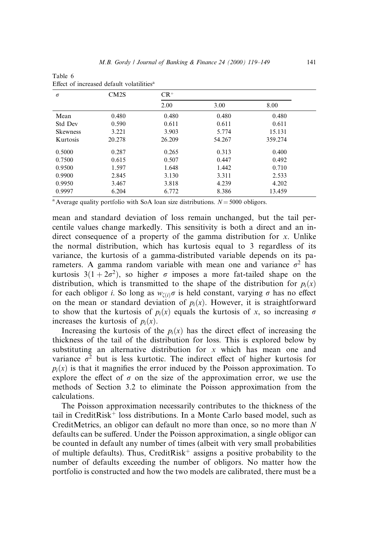| $\sigma$        | CM <sub>2</sub> S | $CR^+$ |        |         |  |
|-----------------|-------------------|--------|--------|---------|--|
|                 |                   | 2.00   | 3.00   | 8.00    |  |
| Mean            | 0.480             | 0.480  | 0.480  | 0.480   |  |
| <b>Std Dev</b>  | 0.590             | 0.611  | 0.611  | 0.611   |  |
| <b>Skewness</b> | 3.221             | 3.903  | 5.774  | 15.131  |  |
| Kurtosis        | 20.278            | 26.209 | 54.267 | 359.274 |  |
| 0.5000          | 0.287             | 0.265  | 0.313  | 0.400   |  |
| 0.7500          | 0.615             | 0.507  | 0.447  | 0.492   |  |
| 0.9500          | 1.597             | 1.648  | 1.442  | 0.710   |  |
| 0.9900          | 2.845             | 3.130  | 3.311  | 2.533   |  |
| 0.9950          | 3.467             | 3.818  | 4.239  | 4.202   |  |
| 0.9997          | 6.204             | 6.772  | 8.386  | 13.459  |  |

Table 6 Effect of increased default volatilities<sup>a</sup>

<sup>a</sup> Average quality portfolio with SoA loan size distributions.  $N = 5000$  obligors.

mean and standard deviation of loss remain unchanged, but the tail percentile values change markedly. This sensitivity is both a direct and an indirect consequence of a property of the gamma distribution for x. Unlike the normal distribution, which has kurtosis equal to 3 regardless of its variance, the kurtosis of a gamma-distributed variable depends on its parameters. A gamma random variable with mean one and variance  $\sigma^2$  has kurtosis  $3(1 + 2\sigma^2)$ , so higher  $\sigma$  imposes a more fat-tailed shape on the distribution, which is transmitted to the shape of the distribution for  $p_i(x)$ for each obligor *i*. So long as  $w_{\ell(i)}\sigma$  is held constant, varying  $\sigma$  has no effect on the mean or standard deviation of  $p_i(x)$ . However, it is straightforward to show that the kurtosis of  $p_i(x)$  equals the kurtosis of x, so increasing  $\sigma$ increases the kurtosis of  $p_i(x)$ .

Increasing the kurtosis of the  $p_i(x)$  has the direct effect of increasing the thickness of the tail of the distribution for loss. This is explored below by substituting an alternative distribution for  $x$  which has mean one and variance  $\sigma^2$  but is less kurtotic. The indirect effect of higher kurtosis for  $p<sub>i</sub>(x)$  is that it magnifies the error induced by the Poisson approximation. To explore the effect of  $\sigma$  on the size of the approximation error, we use the methods of Section 3.2 to eliminate the Poisson approximation from the calculations.

The Poisson approximation necessarily contributes to the thickness of the tail in CreditRisk<sup>+</sup> loss distributions. In a Monte Carlo based model, such as CreditMetrics, an obligor can default no more than once, so no more than N defaults can be suffered. Under the Poisson approximation, a single obligor can be counted in default any number of times (albeit with very small probabilities of multiple defaults). Thus, CreditRisk<sup>+</sup> assigns a positive probability to the number of defaults exceeding the number of obligors. No matter how the portfolio is constructed and how the two models are calibrated, there must be a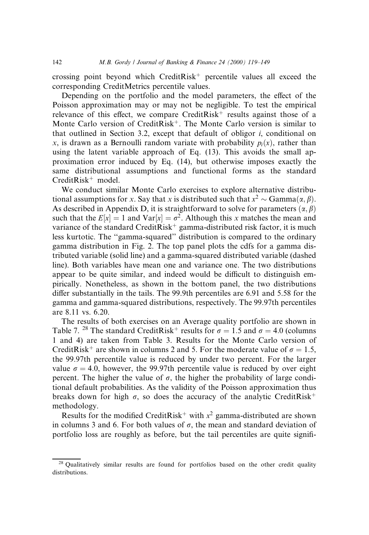crossing point beyond which  $CreditRisk^+$  percentile values all exceed the corresponding CreditMetrics percentile values.

Depending on the portfolio and the model parameters, the effect of the Poisson approximation may or may not be negligible. To test the empirical relevance of this effect, we compare CreditRisk<sup>+</sup> results against those of a Monte Carlo version of CreditRisk<sup>+</sup>. The Monte Carlo version is similar to that outlined in Section 3.2, except that default of obligor  $i$ , conditional on x, is drawn as a Bernoulli random variate with probability  $p_i(x)$ , rather than using the latent variable approach of Eq. (13). This avoids the small approximation error induced by Eq. (14), but otherwise imposes exactly the same distributional assumptions and functional forms as the standard  $CreditRisk^+$  model.

We conduct similar Monte Carlo exercises to explore alternative distributional assumptions for x. Say that x is distributed such that  $x^2 \sim \text{Gamma}(\alpha, \beta)$ . As described in Appendix D, it is straightforward to solve for parameters  $(\alpha, \beta)$ such that the  $E[x] = 1$  and  $Var[x] = \sigma^2$ . Although this x matches the mean and variance of the standard CreditRisk<sup>+</sup> gamma-distributed risk factor, it is much less kurtotic. The "gamma-squared" distribution is compared to the ordinary gamma distribution in Fig. 2. The top panel plots the cdfs for a gamma distributed variable (solid line) and a gamma-squared distributed variable (dashed line). Both variables have mean one and variance one. The two distributions appear to be quite similar, and indeed would be difficult to distinguish empirically. Nonetheless, as shown in the bottom panel, the two distributions differ substantially in the tails. The 99.9th percentiles are 6.91 and 5.58 for the gamma and gamma-squared distributions, respectively. The 99.97th percentiles are 8.11 vs. 6.20.

The results of both exercises on an Average quality portfolio are shown in Table 7. <sup>28</sup> The standard CreditRisk<sup>+</sup> results for  $\sigma = 1.5$  and  $\sigma = 4.0$  (columns) 1 and 4) are taken from Table 3. Results for the Monte Carlo version of CreditRisk<sup>+</sup> are shown in columns 2 and 5. For the moderate value of  $\sigma = 1.5$ , the 99.97th percentile value is reduced by under two percent. For the larger value  $\sigma = 4.0$ , however, the 99.97th percentile value is reduced by over eight percent. The higher the value of  $\sigma$ , the higher the probability of large conditional default probabilities. As the validity of the Poisson approximation thus breaks down for high  $\sigma$ , so does the accuracy of the analytic CreditRisk<sup>+</sup> methodology.

Results for the modified CreditRisk<sup>+</sup> with  $x^2$  gamma-distributed are shown in columns 3 and 6. For both values of  $\sigma$ , the mean and standard deviation of portfolio loss are roughly as before, but the tail percentiles are quite signifi-

<sup>&</sup>lt;sup>28</sup> Qualitatively similar results are found for portfolios based on the other credit quality distributions.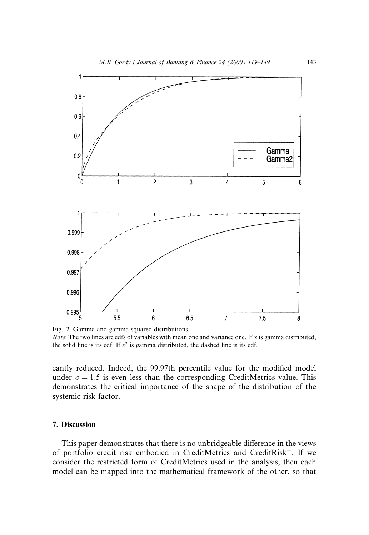



cantly reduced. Indeed, the 99.97th percentile value for the modified model under  $\sigma = 1.5$  is even less than the corresponding CreditMetrics value. This demonstrates the critical importance of the shape of the distribution of the systemic risk factor.

#### 7. Discussion

This paper demonstrates that there is no unbridgeable difference in the views of portfolio credit risk embodied in CreditMetrics and CreditRisk<sup>+</sup>. If we consider the restricted form of CreditMetrics used in the analysis, then each model can be mapped into the mathematical framework of the other, so that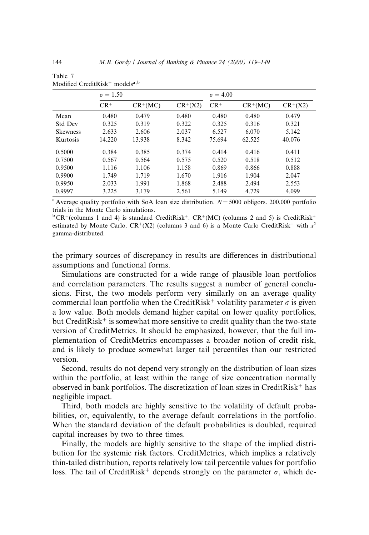|                 | $\sigma = 1.50$ |            |            | $\sigma = 4.00$ |            |            |  |
|-----------------|-----------------|------------|------------|-----------------|------------|------------|--|
|                 | $CR^+$          | $CR^+(MC)$ | $CR^+(X2)$ | $CR^+$          | $CR^+(MC)$ | $CR^+(X2)$ |  |
| Mean            | 0.480           | 0.479      | 0.480      | 0.480           | 0.480      | 0.479      |  |
| <b>Std Dev</b>  | 0.325           | 0.319      | 0.322      | 0.325           | 0.316      | 0.321      |  |
| <b>Skewness</b> | 2.633           | 2.606      | 2.037      | 6.527           | 6.070      | 5.142      |  |
| Kurtosis        | 14.220          | 13.938     | 8.342      | 75.694          | 62.525     | 40.076     |  |
| 0.5000          | 0.384           | 0.385      | 0.374      | 0.414           | 0.416      | 0.411      |  |
| 0.7500          | 0.567           | 0.564      | 0.575      | 0.520           | 0.518      | 0.512      |  |
| 0.9500          | 1.116           | 1.106      | 1.158      | 0.869           | 0.866      | 0.888      |  |
| 0.9900          | 1.749           | 1.719      | 1.670      | 1.916           | 1.904      | 2.047      |  |
| 0.9950          | 2.033           | 1.991      | 1.868      | 2.488           | 2.494      | 2.553      |  |
| 0.9997          | 3.225           | 3.179      | 2.561      | 5.149           | 4.729      | 4.099      |  |

| rable / |                                                        |  |
|---------|--------------------------------------------------------|--|
|         | Modified CreditRisk <sup>+</sup> models <sup>a,b</sup> |  |

<sup>a</sup> Average quality portfolio with SoA loan size distribution.  $N = 5000$  obligors. 200,000 portfolio trials in the Monte Carlo simulations.

 $bCR+(columns 1 and 4)$  is standard CreditRisk<sup>+</sup>.  $CR+(MC)$  (columns 2 and 5) is CreditRisk<sup>+</sup> estimated by Monte Carlo.  $CR^{+}(X2)$  (columns 3 and 6) is a Monte Carlo CreditRisk<sup>+</sup> with  $x^{2}$ gamma-distributed.

the primary sources of discrepancy in results are differences in distributional assumptions and functional forms.

Simulations are constructed for a wide range of plausible loan portfolios and correlation parameters. The results suggest a number of general conclusions. First, the two models perform very similarly on an average quality commercial loan portfolio when the CreditRisk<sup>+</sup> volatility parameter  $\sigma$  is given a low value. Both models demand higher capital on lower quality portfolios, but CreditRisk<sup>+</sup> is somewhat more sensitive to credit quality than the two-state version of CreditMetrics. It should be emphasized, however, that the full implementation of CreditMetrics encompasses a broader notion of credit risk, and is likely to produce somewhat larger tail percentiles than our restricted version.

Second, results do not depend very strongly on the distribution of loan sizes within the portfolio, at least within the range of size concentration normally observed in bank portfolios. The discretization of loan sizes in CreditRisk<sup>+</sup> has negligible impact.

Third, both models are highly sensitive to the volatility of default probabilities, or, equivalently, to the average default correlations in the portfolio. When the standard deviation of the default probabilities is doubled, required capital increases by two to three times.

Finally, the models are highly sensitive to the shape of the implied distribution for the systemic risk factors. CreditMetrics, which implies a relatively thin-tailed distribution, reports relatively low tail percentile values for portfolio loss. The tail of CreditRisk<sup>+</sup> depends strongly on the parameter  $\sigma$ , which de-

Table 7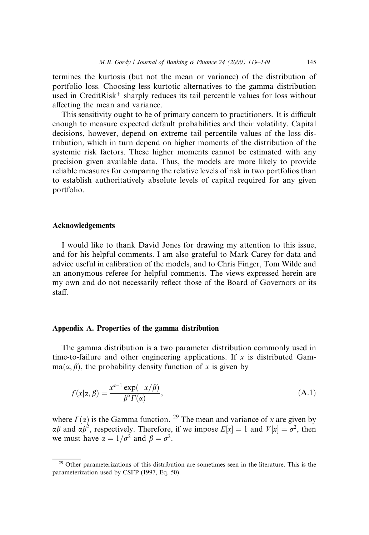termines the kurtosis (but not the mean or variance) of the distribution of portfolio loss. Choosing less kurtotic alternatives to the gamma distribution used in CreditRisk<sup>+</sup> sharply reduces its tail percentile values for loss without affecting the mean and variance.

This sensitivity ought to be of primary concern to practitioners. It is difficult enough to measure expected default probabilities and their volatility. Capital decisions, however, depend on extreme tail percentile values of the loss distribution, which in turn depend on higher moments of the distribution of the systemic risk factors. These higher moments cannot be estimated with any precision given available data. Thus, the models are more likely to provide reliable measures for comparing the relative levels of risk in two portfolios than to establish authoritatively absolute levels of capital required for any given portfolio.

#### Acknowledgements

I would like to thank David Jones for drawing my attention to this issue, and for his helpful comments. I am also grateful to Mark Carey for data and advice useful in calibration of the models, and to Chris Finger, Tom Wilde and an anonymous referee for helpful comments. The views expressed herein are my own and do not necessarily reflect those of the Board of Governors or its staff.

#### Appendix A. Properties of the gamma distribution

The gamma distribution is a two parameter distribution commonly used in time-to-failure and other engineering applications. If x is distributed Gam $ma(\alpha, \beta)$ , the probability density function of x is given by

$$
f(x|\alpha, \beta) = \frac{x^{\alpha - 1} \exp(-x/\beta)}{\beta^{\alpha} \Gamma(\alpha)},
$$
\n(A.1)

where  $\Gamma(\alpha)$  is the Gamma function. <sup>29</sup> The mean and variance of x are given by  $\alpha\beta$  and  $\alpha\beta^2$ , respectively. Therefore, if we impose  $E[x] = 1$  and  $V[x] = \sigma^2$ , then we must have  $\alpha = 1/\sigma^2$  and  $\beta = \sigma^2$ .

<sup>&</sup>lt;sup>29</sup> Other parameterizations of this distribution are sometimes seen in the literature. This is the parameterization used by CSFP (1997, Eq. 50).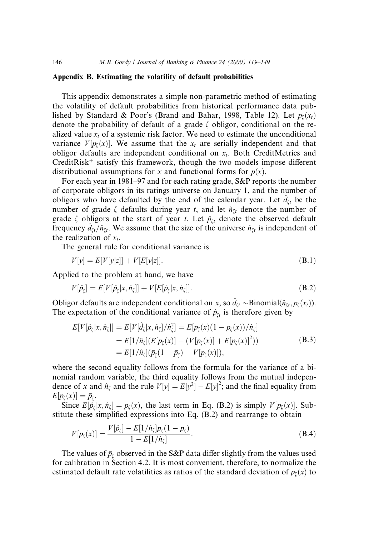#### Appendix B. Estimating the volatility of default probabilities

This appendix demonstrates a simple non-parametric method of estimating the volatility of default probabilities from historical performance data published by Standard & Poor's (Brand and Bahar, 1998, Table 12). Let  $p_{\zeta}(x_t)$ denote the probability of default of a grade  $\zeta$  obligor, conditional on the realized value  $x_t$  of a systemic risk factor. We need to estimate the unconditional variance  $V[p_{\zeta}(x)]$ . We assume that the  $x_t$  are serially independent and that obligor defaults are independent conditional on  $x_t$ . Both CreditMetrics and CreditRisk<sup>+</sup> satisfy this framework, though the two models impose different distributional assumptions for x and functional forms for  $p(x)$ .

For each year in 1981–97 and for each rating grade, S&P reports the number of corporate obligors in its ratings universe on January 1, and the number of obligors who have defaulted by the end of the calendar year. Let  $\hat{d}_{\zeta_t}$  be the number of grade  $\zeta$  defaults during year t, and let  $\hat{n}_{\zeta t}$  denote the number of grade  $\zeta$  obligors at the start of year t. Let  $\hat{p}_{\zeta t}$  denote the observed default frequency  $\hat{d}_{\zeta}t/\hat{n}_{\zeta}$ . We assume that the size of the universe  $\hat{n}_{\zeta}t$  is independent of the realization of  $x_t$ .

The general rule for conditional variance is

$$
V[y] = E[V[y|z]] + V[E[y|z]].
$$
\n(B.1)

Applied to the problem at hand, we have

$$
V[\hat{p}_{\zeta}] = E[V[\hat{p}_{\zeta}|x, \hat{n}_{\zeta}]] + V[E[\hat{p}_{\zeta}|x, \hat{n}_{\zeta}]].
$$
\n(B.2)

Obligor defaults are independent conditional on x, so  $\hat{d}_{\zeta_t} \sim Binomial(\hat{n}_{\zeta_t}, p_{\zeta}(x_t)).$ The expectation of the conditional variance of  $\hat{p}_{\zeta t}$  is therefore given by

$$
E[V[\hat{p}_{\zeta}|x,\hat{n}_{\zeta}]] = E[V[\hat{d}_{\zeta}|x,\hat{n}_{\zeta}]/\hat{n}_{\zeta}^{2}] = E[p_{\zeta}(x)(1-p_{\zeta}(x))/\hat{n}_{\zeta}]
$$
  
\n
$$
= E[1/\hat{n}_{\zeta}](E[p_{\zeta}(x)] - (V[p_{\zeta}(x)] + E[p_{\zeta}(x)]^{2}))
$$
  
\n
$$
= E[1/\hat{n}_{\zeta}](\bar{p}_{\zeta}(1-\bar{p}_{\zeta}) - V[p_{\zeta}(x)]),
$$
\n(B.3)

where the second equality follows from the formula for the variance of a binomial random variable, the third equality follows from the mutual independence of x and  $\hat{n}_{\zeta}$  and the rule  $V[y] = E[y^2] - E[y]^2$ ; and the final equality from  $E[p_{\zeta}(x)] = \bar{p}_{\zeta}.$ 

Since  $E[\hat{p}_r|x, \hat{n}_r] = p_r(x)$ , the last term in Eq. (B.2) is simply  $V[p_r(x)]$ . Substitute these simplified expressions into Eq.  $(B.2)$  and rearrange to obtain

$$
V[p_{\zeta}(x)] = \frac{V[\hat{p}_{\zeta}] - E[1/\hat{n}_{\zeta}]\bar{p}_{\zeta}(1 - \bar{p}_{\zeta})}{1 - E[1/\hat{n}_{\zeta}]}.
$$
(B.4)

The values of  $\bar{p}_f$  observed in the S&P data differ slightly from the values used for calibration in Section 4.2. It is most convenient, therefore, to normalize the estimated default rate volatilities as ratios of the standard deviation of  $p<sub>\zeta</sub>(x)$  to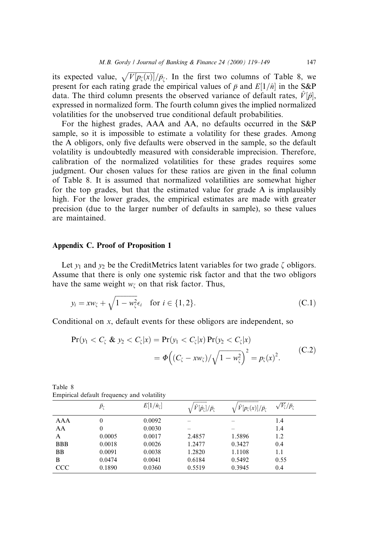its expected value,  $\sqrt{V[p(x)]}/\bar{p}_r$ . In the first two columns of Table 8, we present for each rating grade the empirical values of  $\bar{p}$  and  $E[1/\hat{n}]$  in the S&P data. The third column presents the observed variance of default rates,  $\hat{V}[\hat{p}]$ , expressed in normalized form. The fourth column gives the implied normalized volatilities for the unobserved true conditional default probabilities.

For the highest grades, AAA and AA, no defaults occurred in the S&P sample, so it is impossible to estimate a volatility for these grades. Among the A obligors, only five defaults were observed in the sample, so the default volatility is undoubtedly measured with considerable imprecision. Therefore, calibration of the normalized volatilities for these grades requires some judgment. Our chosen values for these ratios are given in the final column of Table 8. It is assumed that normalized volatilities are somewhat higher for the top grades, but that the estimated value for grade A is implausibly high. For the lower grades, the empirical estimates are made with greater precision (due to the larger number of defaults in sample), so these values are maintained.

#### Appendix C. Proof of Proposition 1

Let  $y_1$  and  $y_2$  be the CreditMetrics latent variables for two grade  $\zeta$  obligors. Assume that there is only one systemic risk factor and that the two obligors have the same weight  $w_{\zeta}$  on that risk factor. Thus,

$$
y_i = xw_{\zeta} + \sqrt{1 - w_{\zeta}^2} \epsilon_i \quad \text{for } i \in \{1, 2\}.
$$
 (C.1)

Conditional on x, default events for these obligors are independent, so

$$
Pr(y_1 < C_{\zeta} \& y_2 < C_{\zeta}|x) = Pr(y_1 < C_{\zeta}|x) Pr(y_2 < C_{\zeta}|x) \\
= \Phi\Big((C_{\zeta} - xw_{\zeta}) / \sqrt{1 - w_{\zeta}^2}\Big)^2 = p_{\zeta}(x)^2.\tag{C.2}
$$

|            | $\bar{p}_\zeta$ | $E[1/\hat{n}_\zeta]$ | $\tilde{\mathbb{P}}_{\mathcal{C}}$<br>$ /\bar{p}_{\zeta}$ | $\hat{V}[p_{\zeta}(x)]/\bar{p}_{\zeta}$ | $\sqrt{V_{\zeta}}/\bar p_{\zeta}$ |
|------------|-----------------|----------------------|-----------------------------------------------------------|-----------------------------------------|-----------------------------------|
| AAA        | $\theta$        | 0.0092               |                                                           |                                         | 1.4                               |
| AA         | $\theta$        | 0.0030               |                                                           |                                         | 1.4                               |
| А          | 0.0005          | 0.0017               | 2.4857                                                    | 1.5896                                  | 1.2                               |
| <b>BBB</b> | 0.0018          | 0.0026               | 1.2477                                                    | 0.3427                                  | 0.4                               |
| <b>BB</b>  | 0.0091          | 0.0038               | 1.2820                                                    | 1.1108                                  | 1.1                               |
| В          | 0.0474          | 0.0041               | 0.6184                                                    | 0.5492                                  | 0.55                              |
| CCC        | 0.1890          | 0.0360               | 0.5519                                                    | 0.3945                                  | 0.4                               |

Table 8 Empirical default frequency and volatility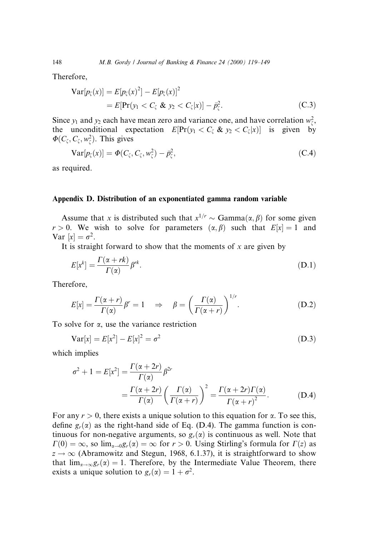Therefore,

$$
\begin{aligned} \n\text{Var}[p_{\zeta}(x)] &= E[p_{\zeta}(x)^2] - E[p_{\zeta}(x)]^2 \\ \n&= E[\text{Pr}(y_1 < C_{\zeta} \& y_2 < C_{\zeta}|x)] - \bar{p}_{\zeta}^2. \n\end{aligned} \tag{C.3}
$$

Since  $y_1$  and  $y_2$  each have mean zero and variance one, and have correlation  $w_\zeta^2$ , the unconditional expectation  $E[\Pr(y_1 < C_\zeta \& y_2 < C_\zeta | x)]$  is given by  $\Phi(C_\zeta, C_\zeta, w_\zeta^2)$ . This gives

$$
Var[p_{\zeta}(x)] = \Phi(C_{\zeta}, C_{\zeta}, w_{\zeta}^2) - \bar{p}_{\zeta}^2,
$$
\n(C.4)

as required.

#### Appendix D. Distribution of an exponentiated gamma random variable

Assume that x is distributed such that  $x^{1/r} \sim \text{Gamma}(\alpha, \beta)$  for some given  $r > 0$ . We wish to solve for parameters  $(\alpha, \beta)$  such that  $E[x] = 1$  and Var  $[x] = \sigma^2$ .

It is straight forward to show that the moments of  $x$  are given by

$$
E[x^k] = \frac{\Gamma(\alpha + rk)}{\Gamma(\alpha)} \beta^{rk}.
$$
 (D.1)

Therefore,

$$
E[x] = \frac{\Gamma(\alpha + r)}{\Gamma(\alpha)} \beta^r = 1 \quad \Rightarrow \quad \beta = \left(\frac{\Gamma(\alpha)}{\Gamma(\alpha + r)}\right)^{1/r}.
$$
 (D.2)

To solve for  $\alpha$ , use the variance restriction

$$
Var[x] = E[x2] - E[x]2 = \sigma2
$$
 (D.3)

which implies

$$
\sigma^2 + 1 = E[x^2] = \frac{\Gamma(\alpha + 2r)}{\Gamma(\alpha)} \beta^{2r}
$$

$$
= \frac{\Gamma(\alpha + 2r)}{\Gamma(\alpha)} \left(\frac{\Gamma(\alpha)}{\Gamma(\alpha + r)}\right)^2 = \frac{\Gamma(\alpha + 2r)\Gamma(\alpha)}{\Gamma(\alpha + r)^2}.
$$
(D.4)

For any  $r > 0$ , there exists a unique solution to this equation for  $\alpha$ . To see this, define  $g_r(\alpha)$  as the right-hand side of Eq. (D.4). The gamma function is continuous for non-negative arguments, so  $g_r(\alpha)$  is continuous as well. Note that  $\Gamma(0) = \infty$ , so  $\lim_{x\to 0} g_r(\alpha) = \infty$  for  $r > 0$ . Using Stirling's formula for  $\Gamma(z)$  as  $z \rightarrow \infty$  (Abramowitz and Stegun, 1968, 6.1.37), it is straightforward to show that  $\lim_{\alpha \to \infty} g_r(\alpha) = 1$ . Therefore, by the Intermediate Value Theorem, there exists a unique solution to  $g_r(\alpha) = 1 + \sigma^2$ .